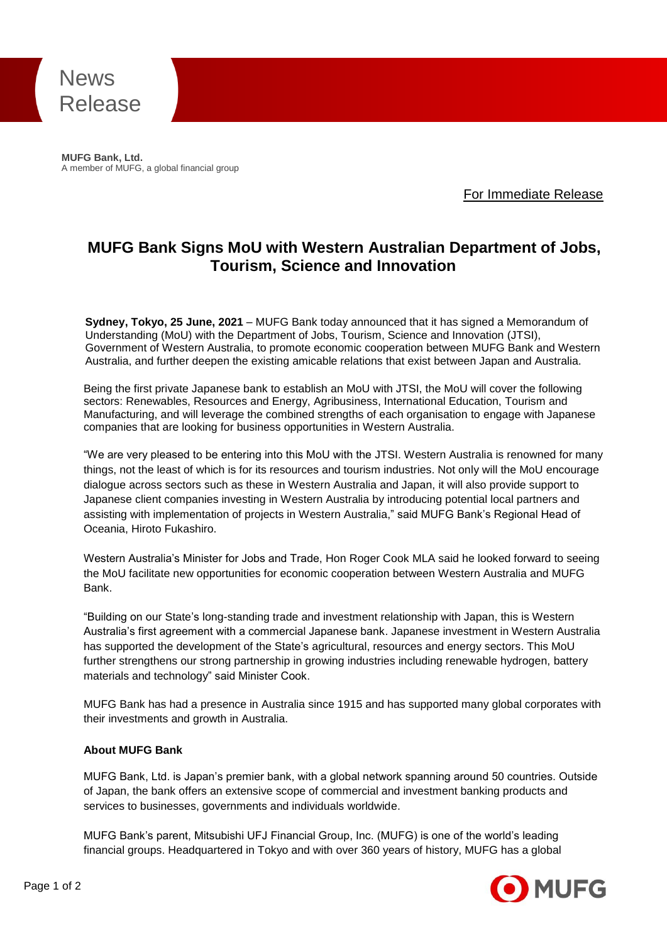

**MUFG Bank, Ltd.** A member of MUFG, a global financial group

For Immediate Release

## **MUFG Bank Signs MoU with Western Australian Department of Jobs, Tourism, Science and Innovation**

**Sydney, Tokyo, 25 June, 2021** – MUFG Bank today announced that it has signed a Memorandum of Understanding (MoU) with the Department of Jobs, Tourism, Science and Innovation (JTSI), Government of Western Australia, to promote economic cooperation between MUFG Bank and Western Australia, and further deepen the existing amicable relations that exist between Japan and Australia.

Being the first private Japanese bank to establish an MoU with JTSI, the MoU will cover the following sectors: Renewables, Resources and Energy, Agribusiness, International Education, Tourism and Manufacturing, and will leverage the combined strengths of each organisation to engage with Japanese companies that are looking for business opportunities in Western Australia.

"We are very pleased to be entering into this MoU with the JTSI. Western Australia is renowned for many things, not the least of which is for its resources and tourism industries. Not only will the MoU encourage dialogue across sectors such as these in Western Australia and Japan, it will also provide support to Japanese client companies investing in Western Australia by introducing potential local partners and assisting with implementation of projects in Western Australia," said MUFG Bank's Regional Head of Oceania, Hiroto Fukashiro.

Western Australia's Minister for Jobs and Trade, Hon Roger Cook MLA said he looked forward to seeing the MoU facilitate new opportunities for economic cooperation between Western Australia and MUFG Bank.

"Building on our State's long-standing trade and investment relationship with Japan, this is Western Australia's first agreement with a commercial Japanese bank. Japanese investment in Western Australia has supported the development of the State's agricultural, resources and energy sectors. This MoU further strengthens our strong partnership in growing industries including renewable hydrogen, battery materials and technology" said Minister Cook.

MUFG Bank has had a presence in Australia since 1915 and has supported many global corporates with their investments and growth in Australia.

## **About MUFG Bank**

MUFG Bank, Ltd. is Japan's premier bank, with a global network spanning around 50 countries. Outside of Japan, the bank offers an extensive scope of commercial and investment banking products and services to businesses, governments and individuals worldwide.

MUFG Bank's parent, Mitsubishi UFJ Financial Group, Inc. (MUFG) is one of the world's leading financial groups. Headquartered in Tokyo and with over 360 years of history, MUFG has a global